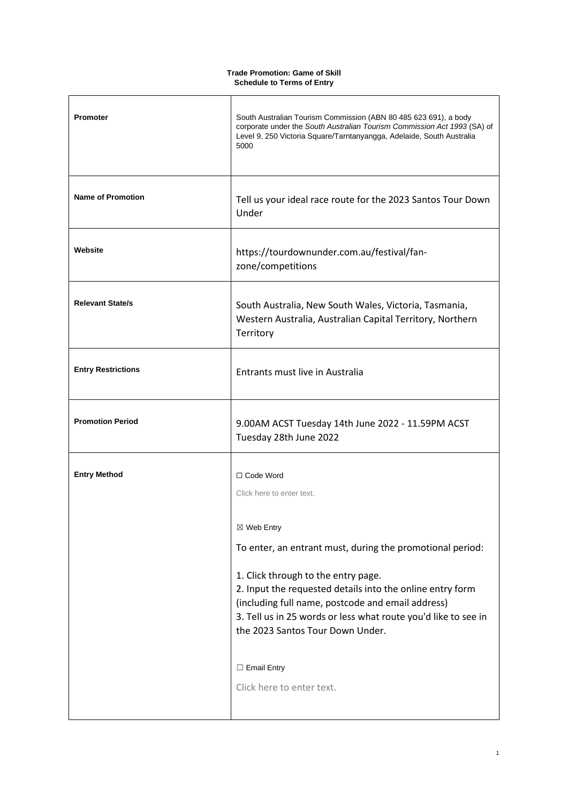## **Trade Promotion: Game of Skill Schedule to Terms of Entry**

 $\mathbf{r}$ 

| Promoter                  | South Australian Tourism Commission (ABN 80 485 623 691), a body<br>corporate under the South Australian Tourism Commission Act 1993 (SA) of<br>Level 9, 250 Victoria Square/Tarntanyangga, Adelaide, South Australia<br>5000                                                                                                                                                                                                          |
|---------------------------|----------------------------------------------------------------------------------------------------------------------------------------------------------------------------------------------------------------------------------------------------------------------------------------------------------------------------------------------------------------------------------------------------------------------------------------|
| <b>Name of Promotion</b>  | Tell us your ideal race route for the 2023 Santos Tour Down<br>Under                                                                                                                                                                                                                                                                                                                                                                   |
| Website                   | https://tourdownunder.com.au/festival/fan-<br>zone/competitions                                                                                                                                                                                                                                                                                                                                                                        |
| <b>Relevant State/s</b>   | South Australia, New South Wales, Victoria, Tasmania,<br>Western Australia, Australian Capital Territory, Northern<br>Territory                                                                                                                                                                                                                                                                                                        |
| <b>Entry Restrictions</b> | Entrants must live in Australia                                                                                                                                                                                                                                                                                                                                                                                                        |
| <b>Promotion Period</b>   | 9.00AM ACST Tuesday 14th June 2022 - 11.59PM ACST<br>Tuesday 28th June 2022                                                                                                                                                                                                                                                                                                                                                            |
| <b>Entry Method</b>       | □ Code Word<br>Click here to enter text.<br>⊠ Web Entry<br>To enter, an entrant must, during the promotional period:<br>1. Click through to the entry page.<br>2. Input the requested details into the online entry form<br>(including full name, postcode and email address)<br>3. Tell us in 25 words or less what route you'd like to see in<br>the 2023 Santos Tour Down Under.<br>$\Box$ Email Entry<br>Click here to enter text. |

٦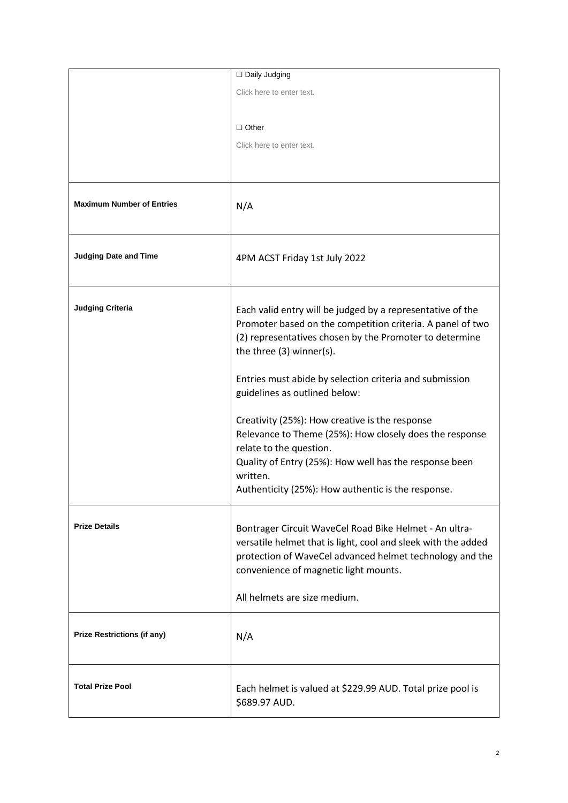|                                    | □ Daily Judging                                                |
|------------------------------------|----------------------------------------------------------------|
|                                    | Click here to enter text.                                      |
|                                    |                                                                |
|                                    | $\Box$ Other                                                   |
|                                    |                                                                |
|                                    | Click here to enter text.                                      |
|                                    |                                                                |
|                                    |                                                                |
| <b>Maximum Number of Entries</b>   | N/A                                                            |
|                                    |                                                                |
|                                    |                                                                |
|                                    |                                                                |
| <b>Judging Date and Time</b>       | 4PM ACST Friday 1st July 2022                                  |
|                                    |                                                                |
|                                    |                                                                |
| <b>Judging Criteria</b>            | Each valid entry will be judged by a representative of the     |
|                                    | Promoter based on the competition criteria. A panel of two     |
|                                    | (2) representatives chosen by the Promoter to determine        |
|                                    | the three (3) winner(s).                                       |
|                                    | Entries must abide by selection criteria and submission        |
|                                    | guidelines as outlined below:                                  |
|                                    |                                                                |
|                                    | Creativity (25%): How creative is the response                 |
|                                    | Relevance to Theme (25%): How closely does the response        |
|                                    | relate to the question.                                        |
|                                    | Quality of Entry (25%): How well has the response been         |
|                                    | written.<br>Authenticity (25%): How authentic is the response. |
|                                    |                                                                |
|                                    |                                                                |
| <b>Prize Details</b>               | Bontrager Circuit WaveCel Road Bike Helmet - An ultra-         |
|                                    | versatile helmet that is light, cool and sleek with the added  |
|                                    | protection of WaveCel advanced helmet technology and the       |
|                                    | convenience of magnetic light mounts.                          |
|                                    | All helmets are size medium.                                   |
|                                    |                                                                |
| <b>Prize Restrictions (if any)</b> |                                                                |
|                                    | N/A                                                            |
|                                    |                                                                |
|                                    |                                                                |
| <b>Total Prize Pool</b>            | Each helmet is valued at \$229.99 AUD. Total prize pool is     |
|                                    | \$689.97 AUD.                                                  |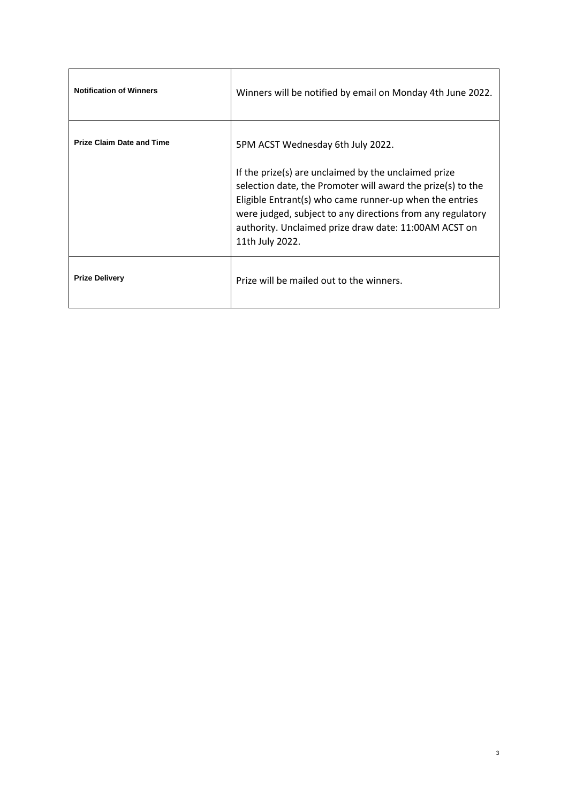| <b>Notification of Winners</b>   | Winners will be notified by email on Monday 4th June 2022.                                                                                                                                                                                                                                                                                                    |
|----------------------------------|---------------------------------------------------------------------------------------------------------------------------------------------------------------------------------------------------------------------------------------------------------------------------------------------------------------------------------------------------------------|
| <b>Prize Claim Date and Time</b> | 5PM ACST Wednesday 6th July 2022.<br>If the prize(s) are unclaimed by the unclaimed prize<br>selection date, the Promoter will award the prize(s) to the<br>Eligible Entrant(s) who came runner-up when the entries<br>were judged, subject to any directions from any regulatory<br>authority. Unclaimed prize draw date: 11:00AM ACST on<br>11th July 2022. |
| <b>Prize Delivery</b>            | Prize will be mailed out to the winners.                                                                                                                                                                                                                                                                                                                      |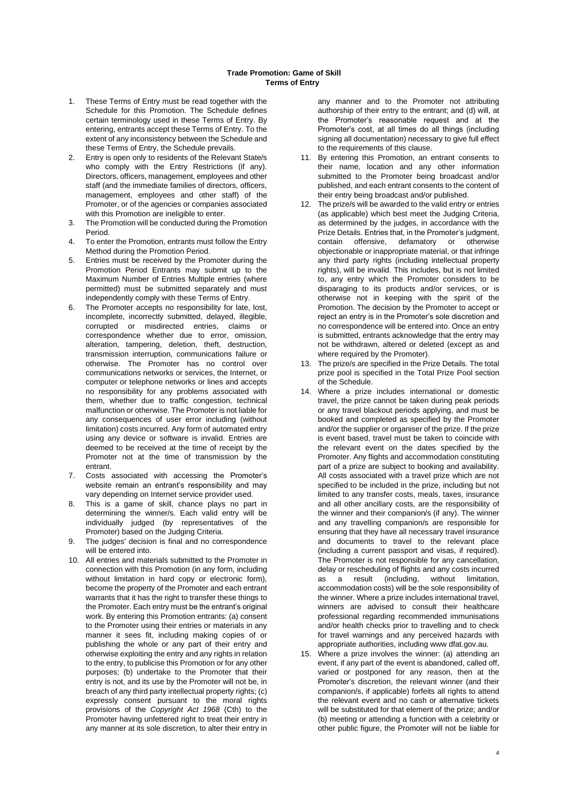- 1. These Terms of Entry must be read together with the Schedule for this Promotion. The Schedule defines certain terminology used in these Terms of Entry. By entering, entrants accept these Terms of Entry. To the extent of any inconsistency between the Schedule and these Terms of Entry, the Schedule prevails.
- 2. Entry is open only to residents of the Relevant State/s who comply with the Entry Restrictions (if any). Directors, officers, management, employees and other staff (and the immediate families of directors, officers, management, employees and other staff) of the Promoter, or of the agencies or companies associated with this Promotion are ineligible to enter.
- 3. The Promotion will be conducted during the Promotion Period.
- 4. To enter the Promotion, entrants must follow the Entry Method during the Promotion Period.
- 5. Entries must be received by the Promoter during the Promotion Period Entrants may submit up to the Maximum Number of Entries Multiple entries (where permitted) must be submitted separately and must independently comply with these Terms of Entry.
- 6. The Promoter accepts no responsibility for late, lost, incomplete, incorrectly submitted, delayed, illegible, corrupted or misdirected entries, claims or correspondence whether due to error, omission, alteration, tampering, deletion, theft, destruction, transmission interruption, communications failure or otherwise. The Promoter has no control over communications networks or services, the Internet, or computer or telephone networks or lines and accepts no responsibility for any problems associated with them, whether due to traffic congestion, technical malfunction or otherwise. The Promoter is not liable for any consequences of user error including (without limitation) costs incurred. Any form of automated entry using any device or software is invalid. Entries are deemed to be received at the time of receipt by the Promoter not at the time of transmission by the entrant.
- 7. Costs associated with accessing the Promoter's website remain an entrant's responsibility and may vary depending on Internet service provider used.
- 8. This is a game of skill, chance plays no part in determining the winner/s. Each valid entry will be individually judged (by representatives of the Promoter) based on the Judging Criteria.
- 9. The judges' decision is final and no correspondence will be entered into.
- 10. All entries and materials submitted to the Promoter in connection with this Promotion (in any form, including without limitation in hard copy or electronic form), become the property of the Promoter and each entrant warrants that it has the right to transfer these things to the Promoter. Each entry must be the entrant's original work. By entering this Promotion entrants: (a) consent to the Promoter using their entries or materials in any manner it sees fit, including making copies of or publishing the whole or any part of their entry and otherwise exploiting the entry and any rights in relation to the entry, to publicise this Promotion or for any other purposes; (b) undertake to the Promoter that their entry is not, and its use by the Promoter will not be, in breach of any third party intellectual property rights; (c) expressly consent pursuant to the moral rights provisions of the *Copyright Act 1968* (Cth) to the Promoter having unfettered right to treat their entry in any manner at its sole discretion, to alter their entry in

any manner and to the Promoter not attributing authorship of their entry to the entrant; and (d) will, at the Promoter's reasonable request and at the Promoter's cost, at all times do all things (including signing all documentation) necessary to give full effect to the requirements of this clause.

- 11. By entering this Promotion, an entrant consents to their name, location and any other information submitted to the Promoter being broadcast and/or published, and each entrant consents to the content of their entry being broadcast and/or published.
- <span id="page-3-0"></span>12. The prize/s will be awarded to the valid entry or entries (as applicable) which best meet the Judging Criteria, as determined by the judges, in accordance with the Prize Details. Entries that, in the Promoter's judgment, contain offensive, defamatory or otherwise objectionable or inappropriate material, or that infringe any third party rights (including intellectual property rights), will be invalid. This includes, but is not limited to, any entry which the Promoter considers to be disparaging to its products and/or services, or is otherwise not in keeping with the spirit of the Promotion. The decision by the Promoter to accept or reject an entry is in the Promoter's sole discretion and no correspondence will be entered into. Once an entry is submitted, entrants acknowledge that the entry may not be withdrawn, altered or deleted (except as and where required by the Promoter).
- 13. The prize/s are specified in the Prize Details. The total prize pool is specified in the Total Prize Pool section of the Schedule.
- 14. Where a prize includes international or domestic travel, the prize cannot be taken during peak periods or any travel blackout periods applying, and must be booked and completed as specified by the Promoter and/or the supplier or organiser of the prize. If the prize is event based, travel must be taken to coincide with the relevant event on the dates specified by the Promoter. Any flights and accommodation constituting part of a prize are subject to booking and availability. All costs associated with a travel prize which are not specified to be included in the prize, including but not limited to any transfer costs, meals, taxes, insurance and all other ancillary costs, are the responsibility of the winner and their companion/s (if any). The winner and any travelling companion/s are responsible for ensuring that they have all necessary travel insurance and documents to travel to the relevant place (including a current passport and visas, if required). The Promoter is not responsible for any cancellation, delay or rescheduling of flights and any costs incurred as a result (including, without limitation, accommodation costs) will be the sole responsibility of the winner. Where a prize includes international travel, winners are advised to consult their healthcare professional regarding recommended immunisations and/or health checks prior to travelling and to check for travel warnings and any perceived hazards with appropriate authorities, including www dfat.gov.au.
- 15. Where a prize involves the winner: (a) attending an event, if any part of the event is abandoned, called off, varied or postponed for any reason, then at the Promoter's discretion, the relevant winner (and their companion/s, if applicable) forfeits all rights to attend the relevant event and no cash or alternative tickets will be substituted for that element of the prize; and/or (b) meeting or attending a function with a celebrity or other public figure, the Promoter will not be liable for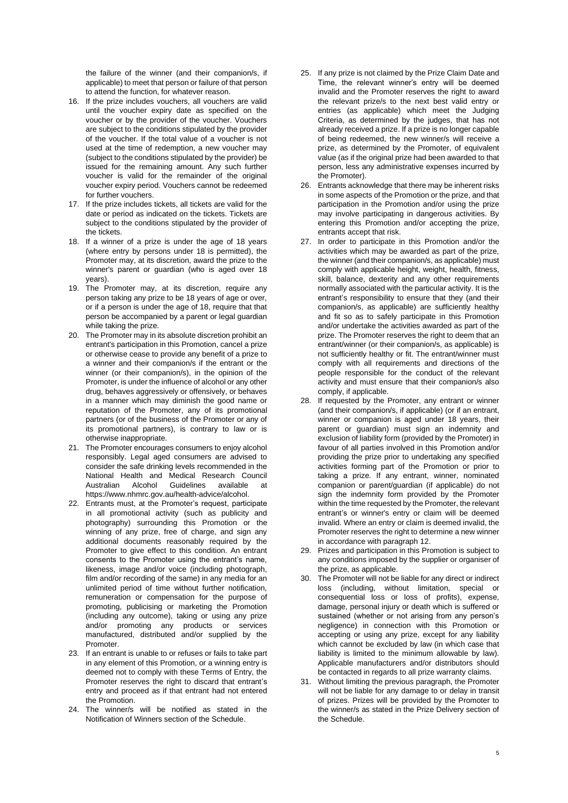the failure of the winner (and their companion/s, if applicable) to meet that person or failure of that person to attend the function, for whatever reason.

- 16. If the prize includes vouchers, all vouchers are valid until the voucher expiry date as specified on the voucher or by the provider of the voucher. Vouchers are subject to the conditions stipulated by the provider of the voucher. If the total value of a voucher is not used at the time of redemption, a new voucher may (subject to the conditions stipulated by the provider) be issued for the remaining amount. Any such further voucher is valid for the remainder of the original voucher expiry period. Vouchers cannot be redeemed for further vouchers.
- 17. If the prize includes tickets, all tickets are valid for the date or period as indicated on the tickets. Tickets are subject to the conditions stipulated by the provider of the tickets.
- 18. If a winner of a prize is under the age of 18 years (where entry by persons under 18 is permitted), the Promoter may, at its discretion, award the prize to the winner's parent or guardian (who is aged over 18 years).
- 19. The Promoter may, at its discretion, require any person taking any prize to be 18 years of age or over, or if a person is under the age of 18, require that that person be accompanied by a parent or legal guardian while taking the prize.
- 20. The Promoter may in its absolute discretion prohibit an entrant's participation in this Promotion, cancel a prize or otherwise cease to provide any benefit of a prize to a winner and their companion/s if the entrant or the winner (or their companion/s), in the opinion of the Promoter, is under the influence of alcohol or any other drug, behaves aggressively or offensively, or behaves in a manner which may diminish the good name or reputation of the Promoter, any of its promotional partners (or of the business of the Promoter or any of its promotional partners), is contrary to law or is otherwise inappropriate.
- 21. The Promoter encourages consumers to enjoy alcohol responsibly. Legal aged consumers are advised to consider the safe drinking levels recommended in the National Health and Medical Research Council Guidelines available at https://www.nhmrc.gov.au/health-advice/alcohol.
- 22. Entrants must, at the Promoter's request, participate in all promotional activity (such as publicity and photography) surrounding this Promotion or the winning of any prize, free of charge, and sign any additional documents reasonably required by the Promoter to give effect to this condition. An entrant consents to the Promoter using the entrant's name, likeness, image and/or voice (including photograph, film and/or recording of the same) in any media for an unlimited period of time without further notification, remuneration or compensation for the purpose of promoting, publicising or marketing the Promotion (including any outcome), taking or using any prize and/or promoting any products or services manufactured, distributed and/or supplied by the Promoter.
- 23. If an entrant is unable to or refuses or fails to take part in any element of this Promotion, or a winning entry is deemed not to comply with these Terms of Entry, the Promoter reserves the right to discard that entrant's entry and proceed as if that entrant had not entered the Promotion.
- 24. The winner/s will be notified as stated in the Notification of Winners section of the Schedule.
- 25. If any prize is not claimed by the Prize Claim Date and Time, the relevant winner's entry will be deemed invalid and the Promoter reserves the right to award the relevant prize/s to the next best valid entry or entries (as applicable) which meet the Judging Criteria, as determined by the judges, that has not already received a prize. If a prize is no longer capable of being redeemed, the new winner/s will receive a prize, as determined by the Promoter, of equivalent value (as if the original prize had been awarded to that person, less any administrative expenses incurred by the Promoter).
- 26. Entrants acknowledge that there may be inherent risks in some aspects of the Promotion or the prize, and that participation in the Promotion and/or using the prize may involve participating in dangerous activities. By entering this Promotion and/or accepting the prize, entrants accept that risk.
- 27. In order to participate in this Promotion and/or the activities which may be awarded as part of the prize, the winner (and their companion/s, as applicable) must comply with applicable height, weight, health, fitness, skill, balance, dexterity and any other requirements normally associated with the particular activity. It is the entrant's responsibility to ensure that they (and their companion/s, as applicable) are sufficiently healthy and fit so as to safely participate in this Promotion and/or undertake the activities awarded as part of the prize. The Promoter reserves the right to deem that an entrant/winner (or their companion/s, as applicable) is not sufficiently healthy or fit. The entrant/winner must comply with all requirements and directions of the people responsible for the conduct of the relevant activity and must ensure that their companion/s also comply, if applicable.
- 28. If requested by the Promoter, any entrant or winner (and their companion/s, if applicable) (or if an entrant, winner or companion is aged under 18 years, their parent or guardian) must sign an indemnity and exclusion of liability form (provided by the Promoter) in favour of all parties involved in this Promotion and/or providing the prize prior to undertaking any specified activities forming part of the Promotion or prior to taking a prize. If any entrant, winner, nominated companion or parent/guardian (if applicable) do not sign the indemnity form provided by the Promoter within the time requested by the Promoter, the relevant entrant's or winner's entry or claim will be deemed invalid. Where an entry or claim is deemed invalid, the Promoter reserves the right to determine a new winner in accordance with paragraph [12.](#page-3-0)
- 29. Prizes and participation in this Promotion is subject to any conditions imposed by the supplier or organiser of the prize, as applicable.
- <span id="page-4-0"></span>30. The Promoter will not be liable for any direct or indirect loss (including, without limitation, special or consequential loss or loss of profits), expense, damage, personal injury or death which is suffered or sustained (whether or not arising from any person's negligence) in connection with this Promotion or accepting or using any prize, except for any liability which cannot be excluded by law (in which case that liability is limited to the minimum allowable by law). Applicable manufacturers and/or distributors should be contacted in regards to all prize warranty claims.
- 31. Without limiting the previous paragraph, the Promoter will not be liable for any damage to or delay in transit of prizes. Prizes will be provided by the Promoter to the winner/s as stated in the Prize Delivery section of the Schedule.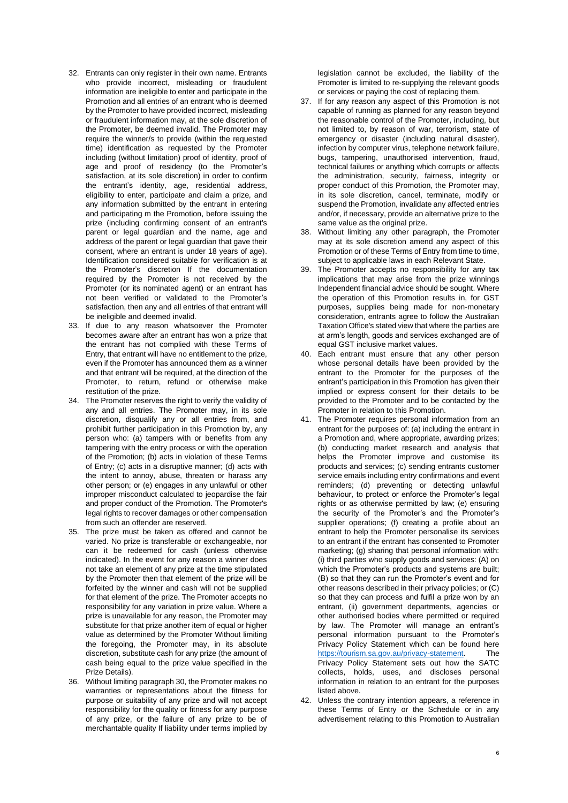- 32. Entrants can only register in their own name. Entrants who provide incorrect, misleading or fraudulent information are ineligible to enter and participate in the Promotion and all entries of an entrant who is deemed by the Promoter to have provided incorrect, misleading or fraudulent information may, at the sole discretion of the Promoter, be deemed invalid. The Promoter may require the winner/s to provide (within the requested time) identification as requested by the Promoter including (without limitation) proof of identity, proof of age and proof of residency (to the Promoter's satisfaction, at its sole discretion) in order to confirm the entrant's identity, age, residential address, eligibility to enter, participate and claim a prize, and any information submitted by the entrant in entering and participating m the Promotion, before issuing the prize (including confirming consent of an entrant's parent or legal guardian and the name, age and address of the parent or legal guardian that gave their consent, where an entrant is under 18 years of age). Identification considered suitable for verification is at the Promoter's discretion If the documentation required by the Promoter is not received by the Promoter (or its nominated agent) or an entrant has not been verified or validated to the Promoter's satisfaction, then any and all entries of that entrant will be ineligible and deemed invalid.
- 33. If due to any reason whatsoever the Promoter becomes aware after an entrant has won a prize that the entrant has not complied with these Terms of Entry, that entrant will have no entitlement to the prize, even if the Promoter has announced them as a winner and that entrant will be required, at the direction of the Promoter, to return, refund or otherwise make restitution of the prize.
- 34. The Promoter reserves the right to verify the validity of any and all entries. The Promoter may, in its sole discretion, disqualify any or all entries from, and prohibit further participation in this Promotion by, any person who: (a) tampers with or benefits from any tampering with the entry process or with the operation of the Promotion; (b) acts in violation of these Terms of Entry; (c) acts in a disruptive manner; (d) acts with the intent to annoy, abuse, threaten or harass any other person; or (e) engages in any unlawful or other improper misconduct calculated to jeopardise the fair and proper conduct of the Promotion. The Promoter's legal rights to recover damages or other compensation from such an offender are reserved.
- 35. The prize must be taken as offered and cannot be varied. No prize is transferable or exchangeable, nor can it be redeemed for cash (unless otherwise indicated). In the event for any reason a winner does not take an element of any prize at the time stipulated by the Promoter then that element of the prize will be forfeited by the winner and cash will not be supplied for that element of the prize. The Promoter accepts no responsibility for any variation in prize value. Where a prize is unavailable for any reason, the Promoter may substitute for that prize another item of equal or higher value as determined by the Promoter Without limiting the foregoing, the Promoter may, in its absolute discretion, substitute cash for any prize (the amount of cash being equal to the prize value specified in the Prize Details).
- 36. Without limiting paragraph [30,](#page-4-0) the Promoter makes no warranties or representations about the fitness for purpose or suitability of any prize and will not accept responsibility for the quality or fitness for any purpose of any prize, or the failure of any prize to be of merchantable quality If liability under terms implied by

legislation cannot be excluded, the liability of the Promoter is limited to re-supplying the relevant goods or services or paying the cost of replacing them.

- 37. If for any reason any aspect of this Promotion is not capable of running as planned for any reason beyond the reasonable control of the Promoter, including, but not limited to, by reason of war, terrorism, state of emergency or disaster (including natural disaster), infection by computer virus, telephone network failure, bugs, tampering, unauthorised intervention, fraud, technical failures or anything which corrupts or affects the administration, security, fairness, integrity or proper conduct of this Promotion, the Promoter may, in its sole discretion, cancel, terminate, modify or suspend the Promotion, invalidate any affected entries and/or, if necessary, provide an alternative prize to the same value as the original prize.
- 38. Without limiting any other paragraph, the Promoter may at its sole discretion amend any aspect of this Promotion or of these Terms of Entry from time to time, subject to applicable laws in each Relevant State.
- 39. The Promoter accepts no responsibility for any tax implications that may arise from the prize winnings Independent financial advice should be sought. Where the operation of this Promotion results in, for GST purposes, supplies being made for non-monetary consideration, entrants agree to follow the Australian Taxation Office's stated view that where the parties are at arm's length, goods and services exchanged are of equal GST inclusive market values.
- 40. Each entrant must ensure that any other person whose personal details have been provided by the entrant to the Promoter for the purposes of the entrant's participation in this Promotion has given their implied or express consent for their details to be provided to the Promoter and to be contacted by the Promoter in relation to this Promotion.
- 41. The Promoter requires personal information from an entrant for the purposes of: (a) including the entrant in a Promotion and, where appropriate, awarding prizes; (b) conducting market research and analysis that helps the Promoter improve and customise its products and services; (c) sending entrants customer service emails including entry confirmations and event reminders; (d) preventing or detecting unlawful behaviour, to protect or enforce the Promoter's legal rights or as otherwise permitted by law; (e) ensuring the security of the Promoter's and the Promoter's supplier operations: (f) creating a profile about an entrant to help the Promoter personalise its services to an entrant if the entrant has consented to Promoter marketing; (g) sharing that personal information with: (i) third parties who supply goods and services: (A) on which the Promoter's products and systems are built; (B) so that they can run the Promoter's event and for other reasons described in their privacy policies; or (C) so that they can process and fulfil a prize won by an entrant, (ii) government departments, agencies or other authorised bodies where permitted or required by law. The Promoter will manage an entrant's personal information pursuant to the Promoter's Privacy Policy Statement which can be found here [https://tourism.sa.gov.au/privacy-statement.](https://tourism.sa.gov.au/privacy-statement) The Privacy Policy Statement sets out how the SATC collects, holds, uses, and discloses personal information in relation to an entrant for the purposes listed above.
- 42. Unless the contrary intention appears, a reference in these Terms of Entry or the Schedule or in any advertisement relating to this Promotion to Australian